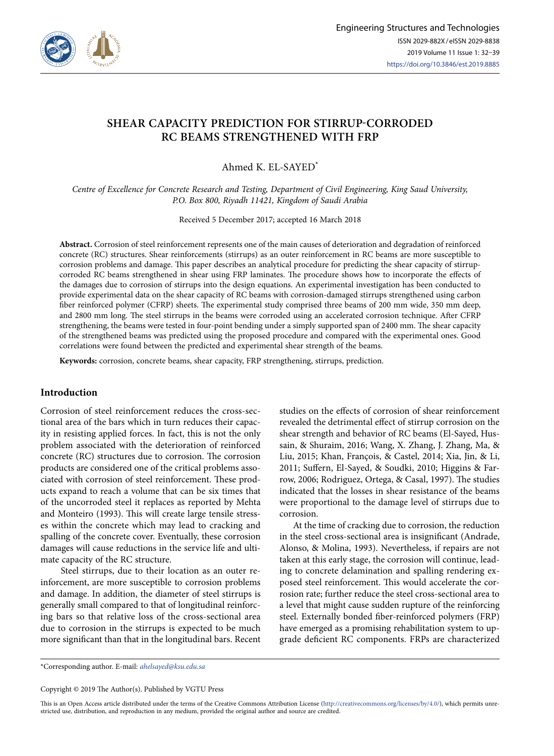

# **SHEAR CAPACITY PREDICTION FOR STIRRUP-CORRODED RC BEAMS STRENGTHENED WITH FRP**

Ahmed K. EL-SAYED\*

*Centre of Excellence for Concrete Research and Testing, Department of Civil Engineering, King Saud University, P.O. Box 800, Riyadh 11421, Kingdom of Saudi Arabia* 

Received 5 December 2017; accepted 16 March 2018

**Abstract.** Corrosion of steel reinforcement represents one of the main causes of deterioration and degradation of reinforced concrete (RC) structures. Shear reinforcements (stirrups) as an outer reinforcement in RC beams are more susceptible to corrosion problems and damage. This paper describes an analytical procedure for predicting the shear capacity of stirrupcorroded RC beams strengthened in shear using FRP laminates. The procedure shows how to incorporate the effects of the damages due to corrosion of stirrups into the design equations. An experimental investigation has been conducted to provide experimental data on the shear capacity of RC beams with corrosion-damaged stirrups strengthened using carbon fiber reinforced polymer (CFRP) sheets. The experimental study comprised three beams of 200 mm wide, 350 mm deep, and 2800 mm long. The steel stirrups in the beams were corroded using an accelerated corrosion technique. After CFRP strengthening, the beams were tested in four-point bending under a simply supported span of 2400 mm. The shear capacity of the strengthened beams was predicted using the proposed procedure and compared with the experimental ones. Good correlations were found between the predicted and experimental shear strength of the beams.

**Keywords:** corrosion, concrete beams, shear capacity, FRP strengthening, stirrups, prediction.

# **Introduction**

Corrosion of steel reinforcement reduces the cross-sectional area of the bars which in turn reduces their capacity in resisting applied forces. In fact, this is not the only problem associated with the deterioration of reinforced concrete (RC) structures due to corrosion. The corrosion products are considered one of the critical problems associated with corrosion of steel reinforcement. These products expand to reach a volume that can be six times that of the uncorroded steel it replaces as reported by Mehta and Monteiro (1993). This will create large tensile stresses within the concrete which may lead to cracking and spalling of the concrete cover. Eventually, these corrosion damages will cause reductions in the service life and ultimate capacity of the RC structure.

Steel stirrups, due to their location as an outer reinforcement, are more susceptible to corrosion problems and damage. In addition, the diameter of steel stirrups is generally small compared to that of longitudinal reinforcing bars so that relative loss of the cross-sectional area due to corrosion in the stirrups is expected to be much more significant than that in the longitudinal bars. Recent studies on the effects of corrosion of shear reinforcement revealed the detrimental effect of stirrup corrosion on the shear strength and behavior of RC beams (El-Sayed, Hussain, & Shuraim, 2016; Wang, X. Zhang, J. Zhang, Ma, & Liu, 2015; Khan, François, & Castel, 2014; Xia, Jin, & Li, 2011; Suffern, El-Sayed, & Soudki, 2010; Higgins & Farrow, 2006; Rodriguez, Ortega, & Casal, 1997). The studies indicated that the losses in shear resistance of the beams were proportional to the damage level of stirrups due to corrosion.

At the time of cracking due to corrosion, the reduction in the steel cross-sectional area is insignificant (Andrade, Alonso, & Molina, 1993). Nevertheless, if repairs are not taken at this early stage, the corrosion will continue, leading to concrete delamination and spalling rendering exposed steel reinforcement. This would accelerate the corrosion rate; further reduce the steel cross-sectional area to a level that might cause sudden rupture of the reinforcing steel. Externally bonded fiber-reinforced polymers (FRP) have emerged as a promising rehabilitation system to upgrade deficient RC components. FRPs are characterized

\*Corresponding author. E-mail: *[ahelsayed@ksu.edu.sa](mailto:ahelsayed@ksu.edu.sa)*

Copyright © 2019 The Author(s). Published by VGTU Press

This is an Open Access article distributed under the terms of the Creative Commons Attribution License [\(http://creativecommons.org/licenses/by/4.0/](http://creativecommons.org/licenses/by/4.0/)), which permits unrestricted use, distribution, and reproduction in any medium, provided the original author and source are credited.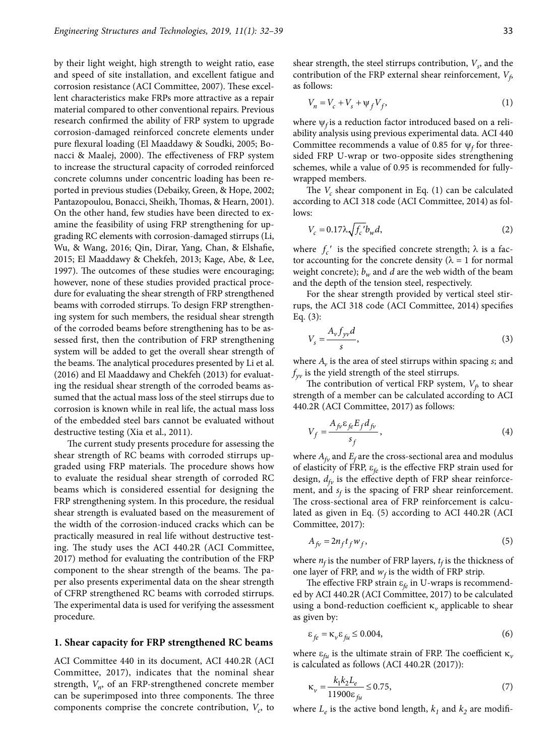by their light weight, high strength to weight ratio, ease and speed of site installation, and excellent fatigue and corrosion resistance (ACI Committee, 2007). These excellent characteristics make FRPs more attractive as a repair material compared to other conventional repairs. Previous research confirmed the ability of FRP system to upgrade corrosion-damaged reinforced concrete elements under pure flexural loading (El Maaddawy & Soudki, 2005; Bonacci & Maalej, 2000). The effectiveness of FRP system to increase the structural capacity of corroded reinforced concrete columns under concentric loading has been reported in previous studies (Debaiky, Green, & Hope, 2002; Pantazopoulou, Bonacci, Sheikh, Thomas, & Hearn, 2001). On the other hand, few studies have been directed to examine the feasibility of using FRP strengthening for upgrading RC elements with corrosion-damaged stirrups (Li, Wu, & Wang, 2016; Qin, Dirar, Yang, Chan, & Elshafie, 2015; El Maaddawy & Chekfeh, 2013; Kage, Abe, & Lee, 1997). The outcomes of these studies were encouraging; however, none of these studies provided practical procedure for evaluating the shear strength of FRP strengthened beams with corroded stirrups. To design FRP strengthening system for such members, the residual shear strength of the corroded beams before strengthening has to be assessed first, then the contribution of FRP strengthening system will be added to get the overall shear strength of the beams. The analytical procedures presented by Li et al. (2016) and El Maaddawy and Chekfeh (2013) for evaluating the residual shear strength of the corroded beams assumed that the actual mass loss of the steel stirrups due to corrosion is known while in real life, the actual mass loss of the embedded steel bars cannot be evaluated without destructive testing (Xia et al., 2011).

The current study presents procedure for assessing the shear strength of RC beams with corroded stirrups upgraded using FRP materials. The procedure shows how to evaluate the residual shear strength of corroded RC beams which is considered essential for designing the FRP strengthening system. In this procedure, the residual shear strength is evaluated based on the measurement of the width of the corrosion-induced cracks which can be practically measured in real life without destructive testing. The study uses the ACI 440.2R (ACI Committee, 2017) method for evaluating the contribution of the FRP component to the shear strength of the beams. The paper also presents experimental data on the shear strength of CFRP strengthened RC beams with corroded stirrups. The experimental data is used for verifying the assessment procedure.

#### **1. Shear capacity for FRP strengthened RC beams**

ACI Committee 440 in its document, ACI 440.2R (ACI Committee, 2017), indicates that the nominal shear strength,  $V_n$ , of an FRP-strengthened concrete member can be superimposed into three components. The three components comprise the concrete contribution,  $V_c$ , to shear strength, the steel stirrups contribution,  $V_s$ , and the contribution of the FRP external shear reinforcement,  $V_f$ as follows:

$$
V_n = V_c + V_s + \psi_f V_f,\tag{1}
$$

where  $\psi_f$  is a reduction factor introduced based on a reliability analysis using previous experimental data. ACI 440 Committee recommends a value of 0.85 for  $\psi_f$  for threesided FRP U-wrap or two-opposite sides strengthening schemes, while a value of 0.95 is recommended for fullywrapped members.

The  $V_c$  shear component in Eq. (1) can be calculated according to ACI 318 code (ACI Committee, 2014) as follows:

$$
V_c = 0.17 \lambda \sqrt{f_c'b_w} d,\t\t(2)
$$

where  $f_c'$  is the specified concrete strength;  $\lambda$  is a factor accounting for the concrete density ( $\lambda = 1$  for normal weight concrete);  $b_w$  and *d* are the web width of the beam and the depth of the tension steel, respectively.

For the shear strength provided by vertical steel stirrups, the ACI 318 code (ACI Committee, 2014) specifies Eq. (3):

$$
V_s = \frac{A_v f_{yv} d}{s},\tag{3}
$$

where *Av* is the area of steel stirrups within spacing *s*; and  $f_{yy}$  is the yield strength of the steel stirrups.

The contribution of vertical FRP system,  $V_f$  to shear strength of a member can be calculated according to ACI 440.2R (ACI Committee, 2017) as follows:

$$
V_f = \frac{A_{fv}\varepsilon_{fe}E_f d_{fv}}{s_f},\tag{4}
$$

where  $A_{f\nu}$  and  $E_f$  are the cross-sectional area and modulus of elasticity of FRP, e*fe* is the effective FRP strain used for design,  $d_{fv}$  is the effective depth of FRP shear reinforcement, and  $s_f$  is the spacing of FRP shear reinforcement. The cross-sectional area of FRP reinforcement is calculated as given in Eq. (5) according to ACI 440.2R (ACI Committee, 2017):

$$
A_{fv} = 2n_f t_f w_f,\tag{5}
$$

where  $n_f$  is the number of FRP layers,  $t_f$  is the thickness of one layer of FRP, and  $w_f$  is the width of FRP strip.

The effective FRP strain  $\varepsilon_{fe}$  in U-wraps is recommended by ACI 440.2R (ACI Committee, 2017) to be calculated using a bond-reduction coefficient  $\kappa<sub>v</sub>$  applicable to shear as given by:

$$
\varepsilon_{fe} = \kappa_v \varepsilon_{fu} \le 0.004,\tag{6}
$$

where  $\varepsilon_{fu}$  is the ultimate strain of FRP. The coefficient  $\kappa_v$ is calculated as follows (ACI 440.2R (2017)):

$$
\kappa_{\nu} = \frac{k_1 k_2 L_e}{11900 \varepsilon_{\text{fu}}} \le 0.75,\tag{7}
$$

where  $L_e$  is the active bond length,  $k_1$  and  $k_2$  are modifi-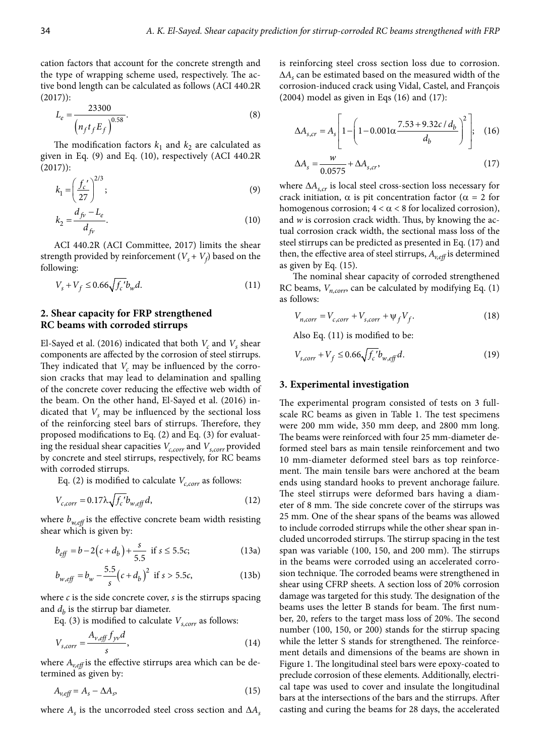cation factors that account for the concrete strength and the type of wrapping scheme used, respectively. The active bond length can be calculated as follows (ACI 440.2R (2017)):

$$
L_e = \frac{23300}{\left(n_f t_f E_f\right)^{0.58}}.\tag{8}
$$

The modification factors  $k_1$  and  $k_2$  are calculated as given in Eq. (9) and Eq. (10), respectively (ACI 440.2R (2017)):

$$
k_1 = \left(\frac{f_c'}{27}\right)^{2/3};\tag{9}
$$

$$
k_2 = \frac{d_{fv} - L_e}{d_{fv}}.\t(10)
$$

ACI 440.2R (ACI Committee, 2017) limits the shear strength provided by reinforcement  $(V_s + V_f)$  based on the following:

$$
V_s + V_f \le 0.66 \sqrt{f_c'} b_w d. \tag{11}
$$

### **2. Shear capacity for FRP strengthened RC beams with corroded stirrups**

El-Sayed et al. (2016) indicated that both  $V_c$  and  $V_s$  shear components are affected by the corrosion of steel stirrups. They indicated that  $V_c$  may be influenced by the corrosion cracks that may lead to delamination and spalling of the concrete cover reducing the effective web width of the beam. On the other hand, El-Sayed et al. (2016) indicated that  $V_s$  may be influenced by the sectional loss of the reinforcing steel bars of stirrups. Therefore, they proposed modifications to Eq. (2) and Eq. (3) for evaluating the residual shear capacities  $V_{c,corr}$  and  $V_{s,corr}$  provided by concrete and steel stirrups, respectively, for RC beams with corroded stirrups.

Eq. (2) is modified to calculate  $V_{c,corr}$  as follows:

$$
V_{c,corr} = 0.17\lambda \sqrt{f_c'} b_{w,eff} d,
$$
\n(12)

where  $b_{w, \text{eff}}$  is the effective concrete beam width resisting shear which is given by:

$$
b_{\text{eff}} = b - 2(c + d_b) + \frac{s}{5.5} \text{ if } s \le 5.5c; \tag{13a}
$$

$$
b_{w, \text{eff}} = b_w - \frac{5.5}{s} \left( c + d_b \right)^2 \text{ if } s > 5.5c,
$$
\n(13b)

where *c* is the side concrete cover, *s* is the stirrups spacing and  $d_b$  is the stirrup bar diameter.

Eq. (3) is modified to calculate  $V_{s,corr}$  as follows:

$$
V_{s,corr} = \frac{A_{v,eff} f_{yv} d}{s},\tag{14}
$$

where  $A_{v, \text{eff}}$  is the effective stirrups area which can be determined as given by:

$$
A_{v, \text{eff}} = A_s - \Delta A_s, \tag{15}
$$

where  $A_s$  is the uncorroded steel cross section and  $\Delta A_s$ 

is reinforcing steel cross section loss due to corrosion. Δ*As* can be estimated based on the measured width of the corrosion-induced crack using Vidal, Castel, and François  $(2004)$  model as given in Eqs  $(16)$  and  $(17)$ :

$$
\Delta A_{s,cr} = A_s \left[ 1 - \left( 1 - 0.001 \alpha \frac{7.53 + 9.32c / d_b}{d_b} \right)^2 \right];
$$
 (16)  

$$
\Delta A_s = \frac{w}{0.0575} + \Delta A_{s,cr},
$$
 (17)

where Δ $A$ <sub>s,cr</sub> is local steel cross-section loss necessary for crack initiation,  $\alpha$  is pit concentration factor ( $\alpha = 2$  for homogenous corrosion;  $4 < \alpha < 8$  for localized corrosion), and *w* is corrosion crack width. Thus, by knowing the actual corrosion crack width, the sectional mass loss of the steel stirrups can be predicted as presented in Eq. (17) and then, the effective area of steel stirrups,  $A_{veff}$  is determined as given by Eq. (15).

The nominal shear capacity of corroded strengthened RC beams, *Vn,corr*, can be calculated by modifying Eq. (1) as follows:

$$
V_{n,corr} = V_{c,corr} + V_{s,corr} + \psi_f V_f.
$$
 (18)

Also Eq. (11) is modified to be:

$$
V_{s,corr} + V_f \le 0.66 \sqrt{f_c'} b_{w,eff} d. \tag{19}
$$

#### **3. Experimental investigation**

The experimental program consisted of tests on 3 fullscale RC beams as given in Table 1. The test specimens were 200 mm wide, 350 mm deep, and 2800 mm long. The beams were reinforced with four 25 mm-diameter deformed steel bars as main tensile reinforcement and two 10 mm-diameter deformed steel bars as top reinforcement. The main tensile bars were anchored at the beam ends using standard hooks to prevent anchorage failure. The steel stirrups were deformed bars having a diameter of 8 mm. The side concrete cover of the stirrups was 25 mm. One of the shear spans of the beams was allowed to include corroded stirrups while the other shear span included uncorroded stirrups. The stirrup spacing in the test span was variable (100, 150, and 200 mm). The stirrups in the beams were corroded using an accelerated corrosion technique. The corroded beams were strengthened in shear using CFRP sheets. A section loss of 20% corrosion damage was targeted for this study. The designation of the beams uses the letter B stands for beam. The first number, 20, refers to the target mass loss of 20%. The second number (100, 150, or 200) stands for the stirrup spacing while the letter S stands for strengthened. The reinforcement details and dimensions of the beams are shown in Figure 1. The longitudinal steel bars were epoxy-coated to preclude corrosion of these elements. Additionally, electrical tape was used to cover and insulate the longitudinal bars at the intersections of the bars and the stirrups. After casting and curing the beams for 28 days, the accelerated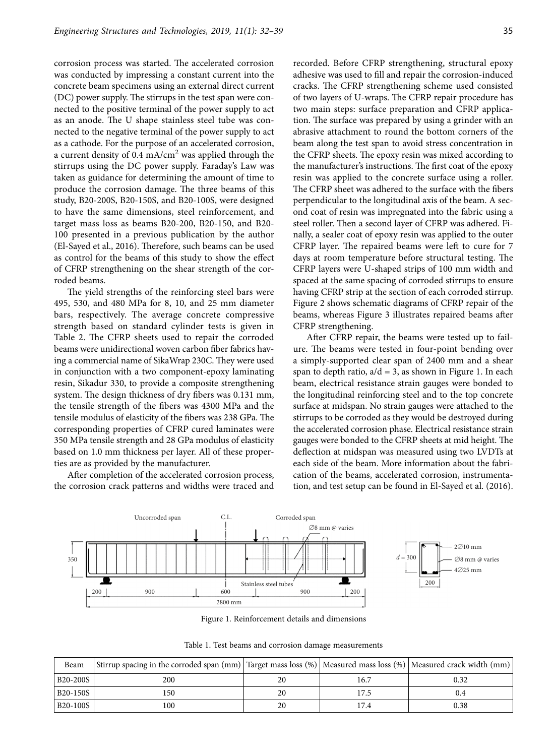corrosion process was started. The accelerated corrosion was conducted by impressing a constant current into the concrete beam specimens using an external direct current (DC) power supply. The stirrups in the test span were connected to the positive terminal of the power supply to act as an anode. The U shape stainless steel tube was connected to the negative terminal of the power supply to act as a cathode. For the purpose of an accelerated corrosion, a current density of 0.4 mA/cm2 was applied through the stirrups using the DC power supply. Faraday's Law was taken as guidance for determining the amount of time to produce the corrosion damage. The three beams of this study, B20-200S, B20-150S, and B20-100S, were designed to have the same dimensions, steel reinforcement, and target mass loss as beams B20-200, B20-150, and B20- 100 presented in a previous publication by the author (El-Sayed et al., 2016). Therefore, such beams can be used as control for the beams of this study to show the effect of CFRP strengthening on the shear strength of the corroded beams.

The yield strengths of the reinforcing steel bars were 495, 530, and 480 MPa for 8, 10, and 25 mm diameter bars, respectively. The average concrete compressive strength based on standard cylinder tests is given in Table 2. The CFRP sheets used to repair the corroded beams were unidirectional woven carbon fiber fabrics having a commercial name of SikaWrap 230C. They were used in conjunction with a two component-epoxy laminating resin, Sikadur 330, to provide a composite strengthening system. The design thickness of dry fibers was 0.131 mm, the tensile strength of the fibers was 4300 MPa and the tensile modulus of elasticity of the fibers was 238 GPa. The corresponding properties of CFRP cured laminates were 350 MPa tensile strength and 28 GPa modulus of elasticity based on 1.0 mm thickness per layer. All of these properties are as provided by the manufacturer.

After completion of the accelerated corrosion process, the corrosion crack patterns and widths were traced and

recorded. Before CFRP strengthening, structural epoxy adhesive was used to fill and repair the corrosion-induced cracks. The CFRP strengthening scheme used consisted of two layers of U-wraps. The CFRP repair procedure has two main steps: surface preparation and CFRP application. The surface was prepared by using a grinder with an abrasive attachment to round the bottom corners of the beam along the test span to avoid stress concentration in the CFRP sheets. The epoxy resin was mixed according to the manufacturer's instructions. The first coat of the epoxy resin was applied to the concrete surface using a roller. The CFRP sheet was adhered to the surface with the fibers perpendicular to the longitudinal axis of the beam. A second coat of resin was impregnated into the fabric using a steel roller. Then a second layer of CFRP was adhered. Finally, a sealer coat of epoxy resin was applied to the outer CFRP layer. The repaired beams were left to cure for 7 days at room temperature before structural testing. The CFRP layers were U-shaped strips of 100 mm width and spaced at the same spacing of corroded stirrups to ensure having CFRP strip at the section of each corroded stirrup. Figure 2 shows schematic diagrams of CFRP repair of the beams, whereas Figure 3 illustrates repaired beams after CFRP strengthening.

After CFRP repair, the beams were tested up to failure. The beams were tested in four-point bending over a simply-supported clear span of 2400 mm and a shear span to depth ratio,  $a/d = 3$ , as shown in Figure 1. In each beam, electrical resistance strain gauges were bonded to the longitudinal reinforcing steel and to the top concrete surface at midspan. No strain gauges were attached to the stirrups to be corroded as they would be destroyed during the accelerated corrosion phase. Electrical resistance strain gauges were bonded to the CFRP sheets at mid height. The deflection at midspan was measured using two LVDTs at each side of the beam. More information about the fabrication of the beams, accelerated corrosion, instrumentation, and test setup can be found in El-Sayed et al. (2016).



Figure 1. Reinforcement details and dimensions

Table 1. Test beams and corrosion damage measurements

| Beam                              | Stirrup spacing in the corroded span (mm) Target mass loss $(\%)$ Measured mass loss $(\%)$ Measured crack width (mm) |    |      |      |  |
|-----------------------------------|-----------------------------------------------------------------------------------------------------------------------|----|------|------|--|
| B20-200S                          | 200                                                                                                                   | 20 | 16.7 | 0.32 |  |
| B <sub>20</sub> -150 <sub>S</sub> | 150                                                                                                                   | 20 |      | 0.4  |  |
| B <sub>20</sub> -100S             | 100                                                                                                                   | 20 | 17.4 | 0.38 |  |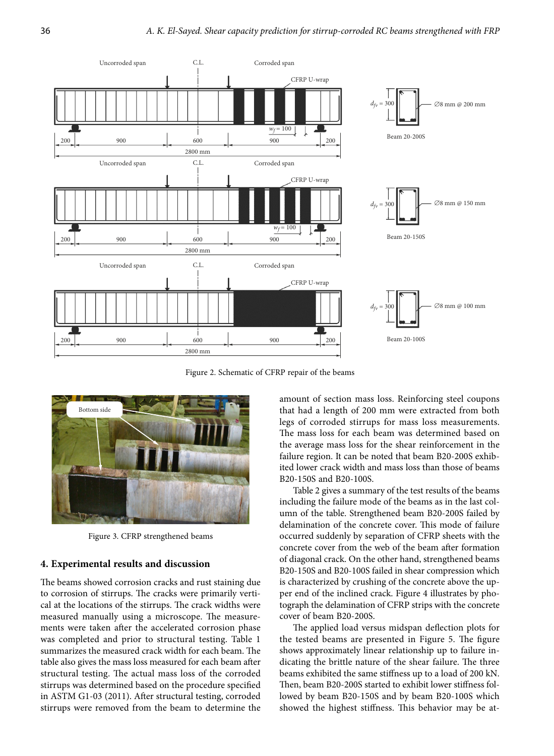

Figure 2. Schematic of CFRP repair of the beams



Figure 3. CFRP strengthened beams

# **4. Experimental results and discussion**

The beams showed corrosion cracks and rust staining due to corrosion of stirrups. The cracks were primarily vertical at the locations of the stirrups. The crack widths were measured manually using a microscope. The measurements were taken after the accelerated corrosion phase was completed and prior to structural testing. Table 1 summarizes the measured crack width for each beam. The table also gives the mass loss measured for each beam after structural testing. The actual mass loss of the corroded stirrups was determined based on the procedure specified in ASTM G1-03 (2011). After structural testing, corroded stirrups were removed from the beam to determine the amount of section mass loss. Reinforcing steel coupons that had a length of 200 mm were extracted from both legs of corroded stirrups for mass loss measurements. The mass loss for each beam was determined based on the average mass loss for the shear reinforcement in the failure region. It can be noted that beam B20-200S exhibited lower crack width and mass loss than those of beams B20-150S and B20-100S.

Table 2 gives a summary of the test results of the beams including the failure mode of the beams as in the last column of the table. Strengthened beam B20-200S failed by delamination of the concrete cover. This mode of failure occurred suddenly by separation of CFRP sheets with the concrete cover from the web of the beam after formation of diagonal crack. On the other hand, strengthened beams B20-150S and B20-100S failed in shear compression which is characterized by crushing of the concrete above the upper end of the inclined crack. Figure 4 illustrates by photograph the delamination of CFRP strips with the concrete cover of beam B20-200S.

The applied load versus midspan deflection plots for the tested beams are presented in Figure 5. The figure shows approximately linear relationship up to failure indicating the brittle nature of the shear failure. The three beams exhibited the same stiffness up to a load of 200 kN. Then, beam B20-200S started to exhibit lower stiffness followed by beam B20-150S and by beam B20-100S which showed the highest stiffness. This behavior may be at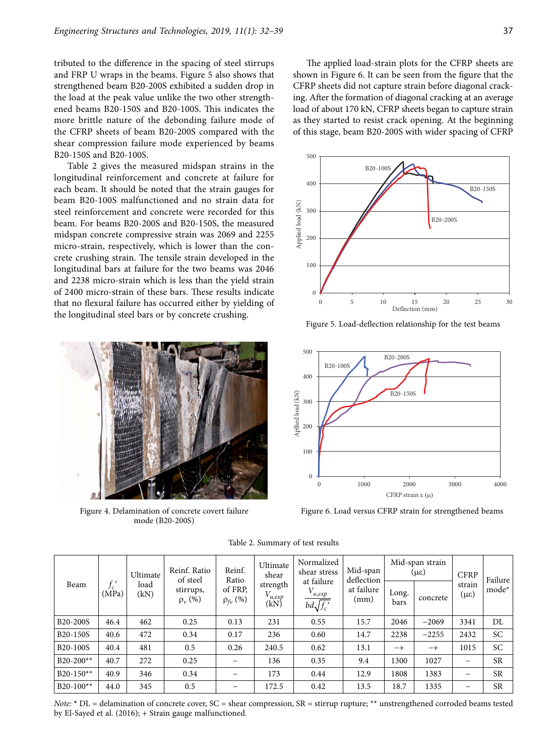tributed to the difference in the spacing of steel stirrups and FRP U wraps in the beams. Figure 5 also shows that strengthened beam B20-200S exhibited a sudden drop in the load at the peak value unlike the two other strengthened beams B20-150S and B20-100S. This indicates the more brittle nature of the debonding failure mode of the CFRP sheets of beam B20-200S compared with the shear compression failure mode experienced by beams B20-150S and B20-100S.

Table 2 gives the measured midspan strains in the longitudinal reinforcement and concrete at failure for each beam. It should be noted that the strain gauges for beam B20-100S malfunctioned and no strain data for steel reinforcement and concrete were recorded for this beam. For beams B20-200S and B20-150S, the measured midspan concrete compressive strain was 2069 and 2255 micro-strain, respectively, which is lower than the concrete crushing strain. The tensile strain developed in the longitudinal bars at failure for the two beams was 2046 and 2238 micro-strain which is less than the yield strain of 2400 micro-strain of these bars. These results indicate that no flexural failure has occurred either by yielding of the longitudinal steel bars or by concrete crushing.



Figure 4. Delamination of concrete covert failure mode (B20-200S)

The applied load-strain plots for the CFRP sheets are shown in Figure 6. It can be seen from the figure that the CFRP sheets did not capture strain before diagonal cracking. After the formation of diagonal cracking at an average load of about 170 kN, CFRP sheets began to capture strain as they started to resist crack opening. At the beginning of this stage, beam B20-200S with wider spacing of CFRP



Figure 5. Load-deflection relationship for the test beams



Figure 6. Load versus CFRP strain for strengthened beams

| Beam                              | J c<br>(MPa) | Ultimate<br>load<br>(kN) | Reinf. Ratio<br>of steel<br>stirrups,<br>$\rho_{v}(\%)$ | Reinf.<br>Ratio<br>of FRP,<br>$\rho_{fv}(\%)$ | Ultimate<br>shear<br>strength<br>$V_{u,exp}$<br>(kN) | Normalized<br>shear stress<br>at failure<br>$V_{u,exp}$<br>$bd\sqrt{f_c'}$ | Mid-span<br>deflection<br>at failure<br>(mm) | Mid-span strain<br>(με) |          | <b>CFRP</b>                   | Failure   |
|-----------------------------------|--------------|--------------------------|---------------------------------------------------------|-----------------------------------------------|------------------------------------------------------|----------------------------------------------------------------------------|----------------------------------------------|-------------------------|----------|-------------------------------|-----------|
|                                   |              |                          |                                                         |                                               |                                                      |                                                                            |                                              | Long.<br>bars           | concrete | strain<br>$(\mu \varepsilon)$ | mode*     |
| B20-200S                          | 46.4         | 462                      | 0.25                                                    | 0.13                                          | 231                                                  | 0.55                                                                       | 15.7                                         | 2046                    | $-2069$  | 3341                          | DL        |
| B <sub>20</sub> -150 <sub>S</sub> | 40.6         | 472                      | 0.34                                                    | 0.17                                          | 236                                                  | 0.60                                                                       | 14.7                                         | 2238                    | $-2255$  | 2432                          | <b>SC</b> |
| B <sub>20</sub> -100S             | 40.4         | 481                      | 0.5                                                     | 0.26                                          | 240.5                                                | 0.62                                                                       | 13.1                                         | $-+$                    | $-+$     | 1015                          | <b>SC</b> |
| $B20-200**$                       | 40.7         | 272                      | 0.25                                                    |                                               | 136                                                  | 0.35                                                                       | 9.4                                          | 1300                    | 1027     | —                             | <b>SR</b> |
| $B20-150**$                       | 40.9         | 346                      | 0.34                                                    | -                                             | 173                                                  | 0.44                                                                       | 12.9                                         | 1808                    | 1383     | -                             | <b>SR</b> |
| $B20-100**$                       | 44.0         | 345                      | 0.5                                                     | -                                             | 172.5                                                | 0.42                                                                       | 13.5                                         | 18.7                    | 1335     | -                             | <b>SR</b> |

Table 2. Summary of test results

*Note:*  $*$  DL = delamination of concrete cover, SC = shear compression, SR = stirrup rupture; \*\* unstrengthened corroded beams tested by El-Sayed et al. (2016); + Strain gauge malfunctioned.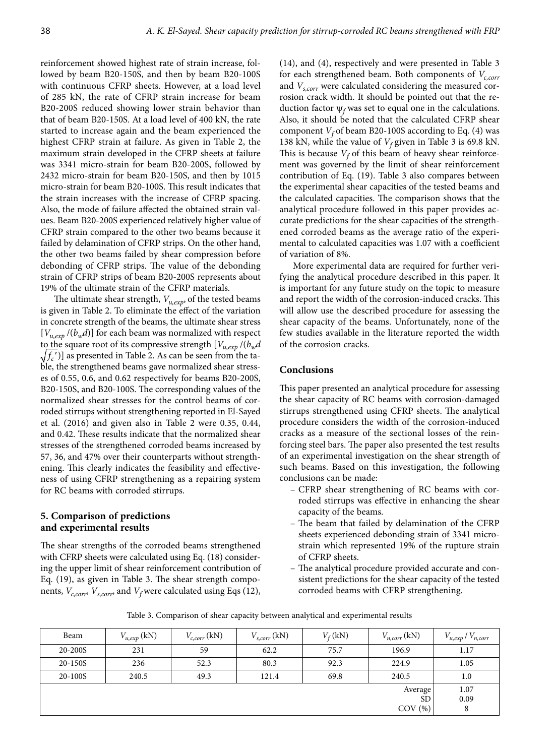reinforcement showed highest rate of strain increase, followed by beam B20-150S, and then by beam B20-100S with continuous CFRP sheets. However, at a load level of 285 kN, the rate of CFRP strain increase for beam B20-200S reduced showing lower strain behavior than that of beam B20-150S. At a load level of 400 kN, the rate started to increase again and the beam experienced the highest CFRP strain at failure. As given in Table 2, the maximum strain developed in the CFRP sheets at failure was 3341 micro-strain for beam B20-200S, followed by 2432 micro-strain for beam B20-150S, and then by 1015 micro-strain for beam B20-100S. This result indicates that the strain increases with the increase of CFRP spacing. Also, the mode of failure affected the obtained strain values. Beam B20-200S experienced relatively higher value of CFRP strain compared to the other two beams because it failed by delamination of CFRP strips. On the other hand, the other two beams failed by shear compression before debonding of CFRP strips. The value of the debonding strain of CFRP strips of beam B20-200S represents about 19% of the ultimate strain of the CFRP materials.

The ultimate shear strength, *Vu,exp*, of the tested beams is given in Table 2. To eliminate the effect of the variation in concrete strength of the beams, the ultimate shear stress  $[V_{u,exp}/(b_w d)]$  for each beam was normalized with respect to the square root of its compressive strength  $[V_{u,exp}/(b_w d$  $\sqrt{f_c'}$ ] as presented in Table 2. As can be seen from the table, the strengthened beams gave normalized shear stresses of 0.55, 0.6, and 0.62 respectively for beams B20-200S, B20-150S, and B20-100S. The corresponding values of the normalized shear stresses for the control beams of corroded stirrups without strengthening reported in El-Sayed et al. (2016) and given also in Table 2 were 0.35, 0.44, and 0.42. These results indicate that the normalized shear stresses of the strengthened corroded beams increased by 57, 36, and 47% over their counterparts without strengthening. This clearly indicates the feasibility and effectiveness of using CFRP strengthening as a repairing system for RC beams with corroded stirrups.

#### **5. Comparison of predictions and experimental results**

The shear strengths of the corroded beams strengthened with CFRP sheets were calculated using Eq. (18) considering the upper limit of shear reinforcement contribution of Eq. (19), as given in Table 3. The shear strength components,  $V_{c,corr}$ ,  $V_{s,corr}$ , and  $V_f$  were calculated using Eqs (12), (14), and (4), respectively and were presented in Table 3 for each strengthened beam. Both components of  $V_{c,corr}$ and *Vs,corr* were calculated considering the measured corrosion crack width. It should be pointed out that the reduction factor  $\psi_f$  was set to equal one in the calculations. Also, it should be noted that the calculated CFRP shear component  $V_f$  of beam B20-100S according to Eq. (4) was 138 kN, while the value of  $V_f$  given in Table 3 is 69.8 kN. This is because  $V_f$  of this beam of heavy shear reinforcement was governed by the limit of shear reinforcement contribution of Eq. (19). Table 3 also compares between the experimental shear capacities of the tested beams and the calculated capacities. The comparison shows that the analytical procedure followed in this paper provides accurate predictions for the shear capacities of the strengthened corroded beams as the average ratio of the experimental to calculated capacities was 1.07 with a coefficient of variation of 8%.

More experimental data are required for further verifying the analytical procedure described in this paper. It is important for any future study on the topic to measure and report the width of the corrosion-induced cracks. This will allow use the described procedure for assessing the shear capacity of the beams. Unfortunately, none of the few studies available in the literature reported the width of the corrosion cracks.

#### **Conclusions**

This paper presented an analytical procedure for assessing the shear capacity of RC beams with corrosion-damaged stirrups strengthened using CFRP sheets. The analytical procedure considers the width of the corrosion-induced cracks as a measure of the sectional losses of the reinforcing steel bars. The paper also presented the test results of an experimental investigation on the shear strength of such beams. Based on this investigation, the following conclusions can be made:

- CFRP shear strengthening of RC beams with corroded stirrups was effective in enhancing the shear capacity of the beams.
- The beam that failed by delamination of the CFRP sheets experienced debonding strain of 3341 microstrain which represented 19% of the rupture strain of CFRP sheets.
- The analytical procedure provided accurate and consistent predictions for the shear capacity of the tested corroded beams with CFRP strengthening.

Table 3. Comparison of shear capacity between analytical and experimental results

| Beam    | $V_{u,exp}$ (kN) | $V_{c,corr}$ (kN) | $V_{s,corr}$ (kN) | $V_f(kN)$ | $V_{n,corr}$ (kN) | $V_{u,exp} / V_{n,corr}$ |
|---------|------------------|-------------------|-------------------|-----------|-------------------|--------------------------|
| 20-200S | 231              | 59                | 62.2              | 75.7      | 196.9             | 1.17                     |
| 20-150S | 236              | 52.3              | 80.3              | 92.3      | 224.9             | 1.05                     |
| 20-100S | 240.5            | 49.3              | 121.4             | 69.8      | 240.5             | 1.0                      |
|         |                  |                   |                   |           | Average           | 1.07                     |
|         |                  |                   |                   |           | <b>SD</b>         | 0.09                     |
|         |                  |                   |                   |           | $COV$ $(\%)$      | 8                        |